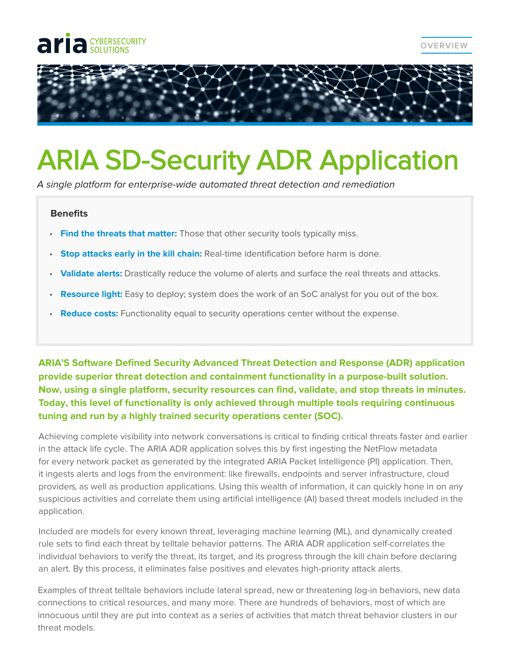## **CYBERSECURITY**



## ARIA SD-Security ADR Application

A single platform for enterprise-wide automated threat detection and remediation

## **Benefits**

- **Find the threats that matter:** Those that other security tools typically miss.
- **Stop attacks early in the kill chain:** Real-time identification before harm is done.
- **Validate alerts:** Drastically reduce the volume of alerts and surface the real threats and attacks.
- **Resource light:** Easy to deploy; system does the work of an SoC analyst for you out of the box.
- **Reduce costs:** Functionality equal to security operations center without the expense.

**ARIA'S Software Defined Security Advanced Threat Detection and Response (ADR) application provide superior threat detection and containment functionality in a purpose-built solution. Now, using a single platform, security resources can find, validate, and stop threats in minutes. Today, this level of functionality is only achieved through multiple tools requiring continuous tuning and run by a highly trained security operations center (SOC).**

Achieving complete visibility into network conversations is critical to finding critical threats faster and earlier in the attack life cycle. The ARIA ADR application solves this by first ingesting the NetFlow metadata for every network packet as generated by the integrated ARIA Packet Intelligence (PI) application. Then, it ingests alerts and logs from the environment: like firewalls, endpoints and server infrastructure, cloud providers, as well as production applications. Using this wealth of information, it can quickly hone in on any suspicious activities and correlate them using artificial intelligence (AI) based threat models included in the application.

Included are models for every known threat, leveraging machine learning (ML), and dynamically created rule sets to find each threat by telltale behavior patterns. The ARIA ADR application self-correlates the individual behaviors to verify the threat, its target, and its progress through the kill chain before declaring an alert. By this process, it eliminates false positives and elevates high-priority attack alerts.

Examples of threat telltale behaviors include lateral spread, new or threatening log-in behaviors, new data connections to critical resources, and many more. There are hundreds of behaviors, most of which are innocuous until they are put into context as a series of activities that match threat behavior clusters in our threat models.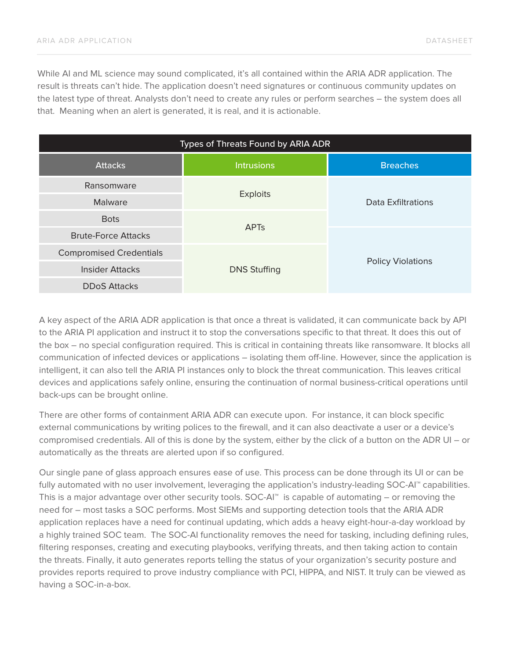While AI and ML science may sound complicated, it's all contained within the ARIA ADR application. The result is threats can't hide. The application doesn't need signatures or continuous community updates on the latest type of threat. Analysts don't need to create any rules or perform searches – the system does all that. Meaning when an alert is generated, it is real, and it is actionable.

| Types of Threats Found by ARIA ADR |                        |                          |
|------------------------------------|------------------------|--------------------------|
| <b>Attacks</b>                     | <b>Intrusions</b>      | <b>Breaches</b>          |
| Ransomware                         | <b>Exploits</b>        | Data Exfiltrations       |
| Malware                            |                        |                          |
| <b>Bots</b>                        | <b>APT<sub>s</sub></b> |                          |
| <b>Brute-Force Attacks</b>         |                        | <b>Policy Violations</b> |
| <b>Compromised Credentials</b>     | <b>DNS Stuffing</b>    |                          |
| <b>Insider Attacks</b>             |                        |                          |
| <b>DDoS Attacks</b>                |                        |                          |

A key aspect of the ARIA ADR application is that once a threat is validated, it can communicate back by API to the ARIA PI application and instruct it to stop the conversations specific to that threat. It does this out of the box – no special configuration required. This is critical in containing threats like ransomware. It blocks all communication of infected devices or applications – isolating them off-line. However, since the application is intelligent, it can also tell the ARIA PI instances only to block the threat communication. This leaves critical devices and applications safely online, ensuring the continuation of normal business-critical operations until back-ups can be brought online.

There are other forms of containment ARIA ADR can execute upon. For instance, it can block specific external communications by writing polices to the firewall, and it can also deactivate a user or a device's compromised credentials. All of this is done by the system, either by the click of a button on the ADR UI – or automatically as the threats are alerted upon if so configured.

Our single pane of glass approach ensures ease of use. This process can be done through its UI or can be fully automated with no user involvement, leveraging the application's industry-leading SOC-AI™ capabilities. This is a major advantage over other security tools.  $SOC-AI<sup>m</sup>$  is capable of automating – or removing the need for – most tasks a SOC performs. Most SIEMs and supporting detection tools that the ARIA ADR application replaces have a need for continual updating, which adds a heavy eight-hour-a-day workload by a highly trained SOC team. The SOC-AI functionality removes the need for tasking, including defining rules, filtering responses, creating and executing playbooks, verifying threats, and then taking action to contain the threats. Finally, it auto generates reports telling the status of your organization's security posture and provides reports required to prove industry compliance with PCI, HIPPA, and NIST. It truly can be viewed as having a SOC-in-a-box.